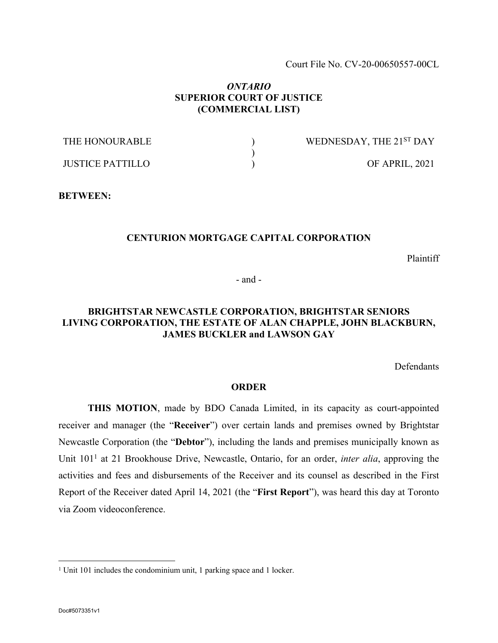Court File No. CV-20-00650557-00CL

### *ONTARIO* **SUPERIOR COURT OF JUSTICE (COMMERCIAL LIST)**

| THE HONOURABLE   | WEDNESDAY, THE 21ST DAY |
|------------------|-------------------------|
|                  |                         |
| JUSTICE PATTILLO | OF APRIL, 2021          |

**BETWEEN:**

### **CENTURION MORTGAGE CAPITAL CORPORATION**

Plaintiff

- and -

## **BRIGHTSTAR NEWCASTLE CORPORATION, BRIGHTSTAR SENIORS LIVING CORPORATION, THE ESTATE OF ALAN CHAPPLE, JOHN BLACKBURN, JAMES BUCKLER and LAWSON GAY**

Defendants

### **ORDER**

**THIS MOTION**, made by BDO Canada Limited, in its capacity as court-appointed receiver and manager (the "**Receiver**") over certain lands and premises owned by Brightstar Newcastle Corporation (the "**Debtor**"), including the lands and premises municipally known as Unit 101<sup>1</sup> at 21 Brookhouse Drive, Newcastle, Ontario, for an order, *inter alia*, approving the activities and fees and disbursements of the Receiver and its counsel as described in the First Report of the Receiver dated April 14, 2021 (the "**First Report**"), was heard this day at Toronto via Zoom videoconference.

<sup>&</sup>lt;sup>1</sup> Unit 101 includes the condominium unit, 1 parking space and 1 locker.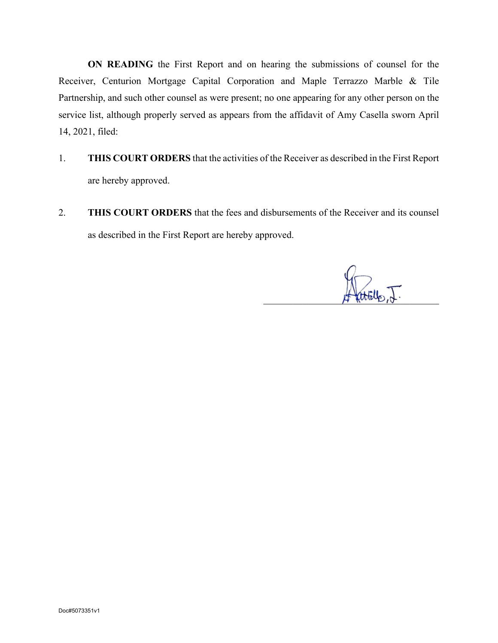**ON READING** the First Report and on hearing the submissions of counsel for the Receiver, Centurion Mortgage Capital Corporation and Maple Terrazzo Marble & Tile Partnership, and such other counsel as were present; no one appearing for any other person on the service list, although properly served as appears from the affidavit of Amy Casella sworn April 14, 2021, filed:

- 1. **THIS COURT ORDERS** that the activities of the Receiver as described in the First Report are hereby approved.
- 2. **THIS COURT ORDERS** that the fees and disbursements of the Receiver and its counsel as described in the First Report are hereby approved.

 $\#$  terrors by